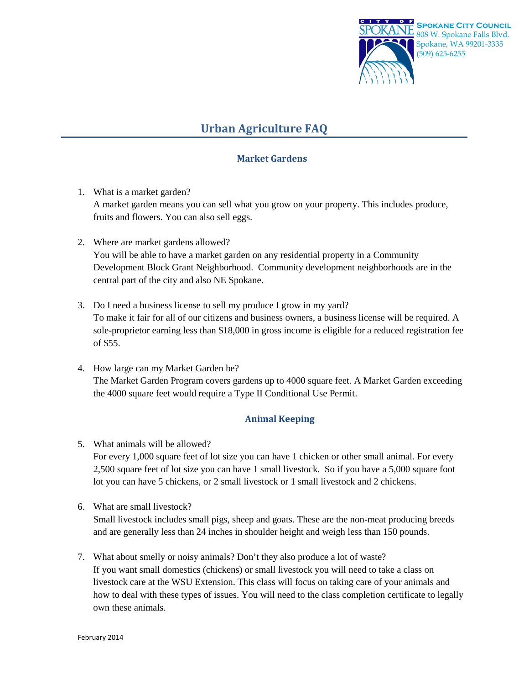

## **Urban Agriculture FAQ**

## **Market Gardens**

- 1. What is a market garden? A market garden means you can sell what you grow on your property. This includes produce, fruits and flowers. You can also sell eggs.
- 2. Where are market gardens allowed? You will be able to have a market garden on any residential property in a Community Development Block Grant Neighborhood. Community development neighborhoods are in the central part of the city and also NE Spokane.
- 3. Do I need a business license to sell my produce I grow in my yard? To make it fair for all of our citizens and business owners, a business license will be required. A sole-proprietor earning less than \$18,000 in gross income is eligible for a reduced registration fee of \$55.
- 4. How large can my Market Garden be? The Market Garden Program covers gardens up to 4000 square feet. A Market Garden exceeding the 4000 square feet would require a Type II Conditional Use Permit.

## **Animal Keeping**

- 5. What animals will be allowed? For every 1,000 square feet of lot size you can have 1 chicken or other small animal. For every 2,500 square feet of lot size you can have 1 small livestock. So if you have a 5,000 square foot lot you can have 5 chickens, or 2 small livestock or 1 small livestock and 2 chickens.
- 6. What are small livestock? Small livestock includes small pigs, sheep and goats. These are the non-meat producing breeds and are generally less than 24 inches in shoulder height and weigh less than 150 pounds.
- 7. What about smelly or noisy animals? Don't they also produce a lot of waste? If you want small domestics (chickens) or small livestock you will need to take a class on livestock care at the WSU Extension. This class will focus on taking care of your animals and how to deal with these types of issues. You will need to the class completion certificate to legally own these animals.